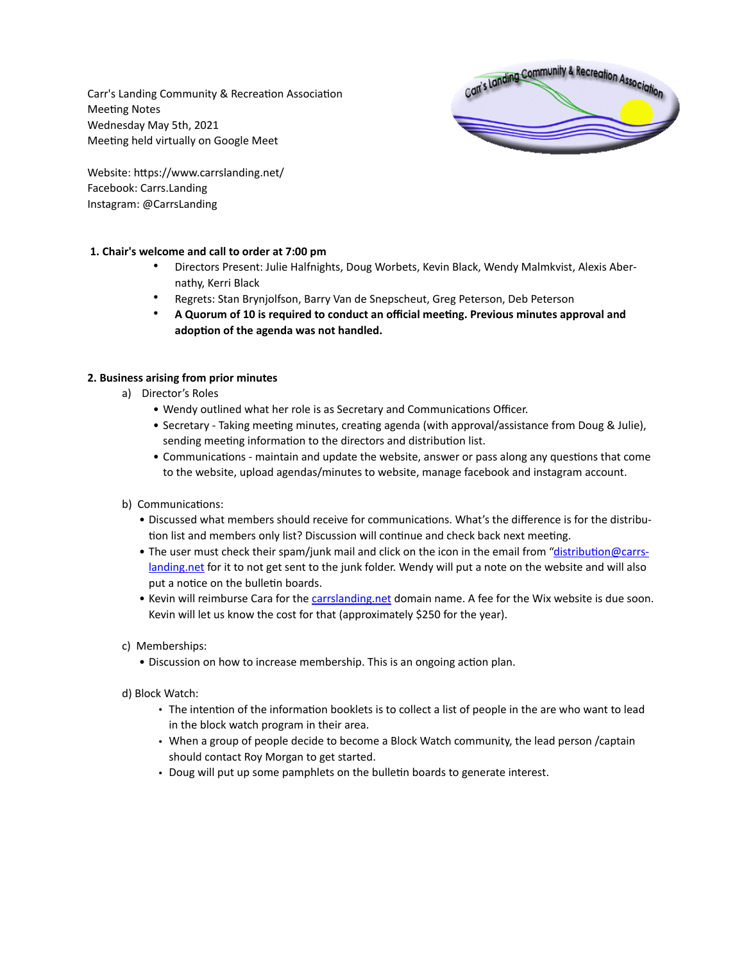Carr's Landing Community & Recreation Association Meeting Notes Wednesday May 5th, 2021 Meeting held virtually on Google Meet



Website: https://www.carrslanding.net/ Facebook: Carrs.Landing Instagram: @CarrsLanding

## **1. Chair's welcome and call to order at 7:00 pm**

- Directors Present: Julie Halfnights, Doug Worbets, Kevin Black, Wendy Malmkvist, Alexis Abernathy, Kerri Black
- Regrets: Stan Brynjolfson, Barry Van de Snepscheut, Greg Peterson, Deb Peterson
- **A Quorum of 10 is required to conduct an official meeting. Previous minutes approval and adoption of the agenda was not handled.**

# **2. Business arising from prior minutes**

- a) Director's Roles
	- Wendy outlined what her role is as Secretary and Communications Officer.
	- Secretary Taking meeting minutes, creating agenda (with approval/assistance from Doug & Julie), sending meeting information to the directors and distribution list.
	- Communications maintain and update the website, answer or pass along any questions that come to the website, upload agendas/minutes to website, manage facebook and instagram account.
- b) Communications:
	- Discussed what members should receive for communications. What's the difference is for the distribution list and members only list? Discussion will continue and check back next meeting.
	- The user must check their spam/junk mail and click on the icon in the email from ["distribution@carrs](mailto:distribution@carrslanding.net)[landing.net](mailto:distribution@carrslanding.net) for it to not get sent to the junk folder. Wendy will put a note on the website and will also put a notice on the bulletin boards.
	- Kevin will reimburse Cara for the [carrslanding.net](http://carrslanding.net) domain name. A fee for the Wix website is due soon. Kevin will let us know the cost for that (approximately \$250 for the year).
- c) Memberships:
	- Discussion on how to increase membership. This is an ongoing action plan.
- d) Block Watch:
	- The intention of the information booklets is to collect a list of people in the are who want to lead in the block watch program in their area.
	- When a group of people decide to become a Block Watch community, the lead person /captain should contact Roy Morgan to get started.
	- Doug will put up some pamphlets on the bulletin boards to generate interest.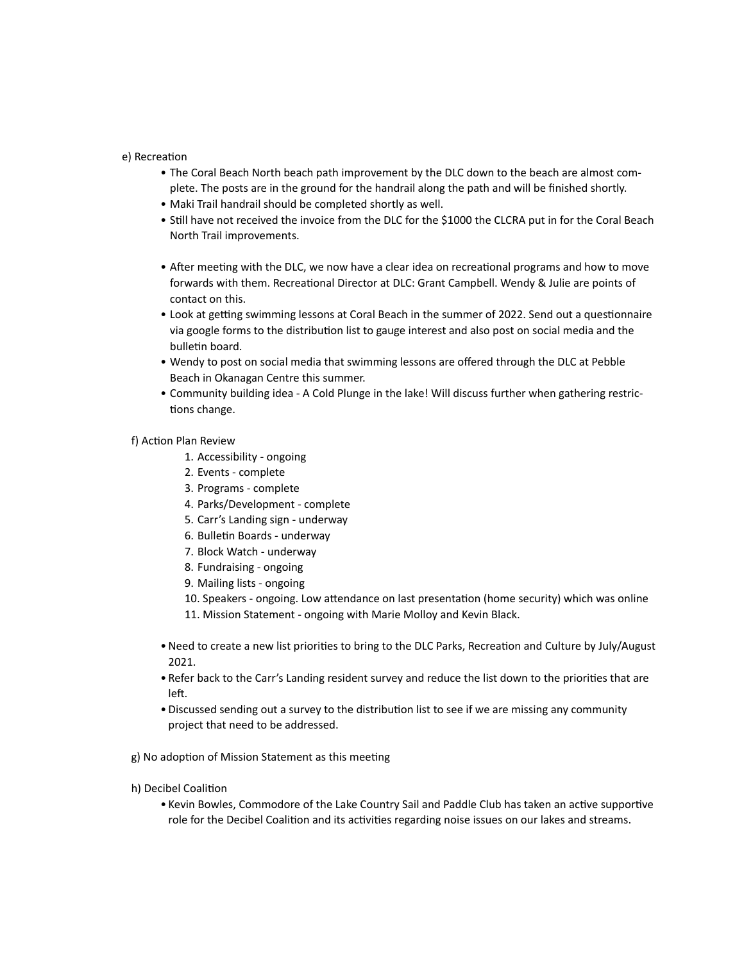e) Recreation

- The Coral Beach North beach path improvement by the DLC down to the beach are almost complete. The posts are in the ground for the handrail along the path and will be finished shortly.
- Maki Trail handrail should be completed shortly as well.
- Still have not received the invoice from the DLC for the \$1000 the CLCRA put in for the Coral Beach North Trail improvements.
- After meeting with the DLC, we now have a clear idea on recreational programs and how to move forwards with them. Recreational Director at DLC: Grant Campbell. Wendy & Julie are points of contact on this.
- Look at getting swimming lessons at Coral Beach in the summer of 2022. Send out a questionnaire via google forms to the distribution list to gauge interest and also post on social media and the bulletin board.
- Wendy to post on social media that swimming lessons are offered through the DLC at Pebble Beach in Okanagan Centre this summer.
- Community building idea A Cold Plunge in the lake! Will discuss further when gathering restrictions change.

### f) Action Plan Review

- 1. Accessibility ongoing
- 2. Events complete
- 3. Programs complete
- 4. Parks/Development complete
- 5. Carr's Landing sign underway
- 6. Bulletin Boards underway
- 7. Block Watch underway
- 8. Fundraising ongoing
- 9. Mailing lists ongoing
- 10. Speakers ongoing. Low attendance on last presentation (home security) which was online 11. Mission Statement - ongoing with Marie Molloy and Kevin Black.
- •Need to create a new list priorities to bring to the DLC Parks, Recreation and Culture by July/August 2021.
- Refer back to the Carr's Landing resident survey and reduce the list down to the priorities that are left.
- Discussed sending out a survey to the distribution list to see if we are missing any community project that need to be addressed.

g) No adoption of Mission Statement as this meeting

### h) Decibel Coalition

• Kevin Bowles, Commodore of the Lake Country Sail and Paddle Club has taken an active supportive role for the Decibel Coalition and its activities regarding noise issues on our lakes and streams.